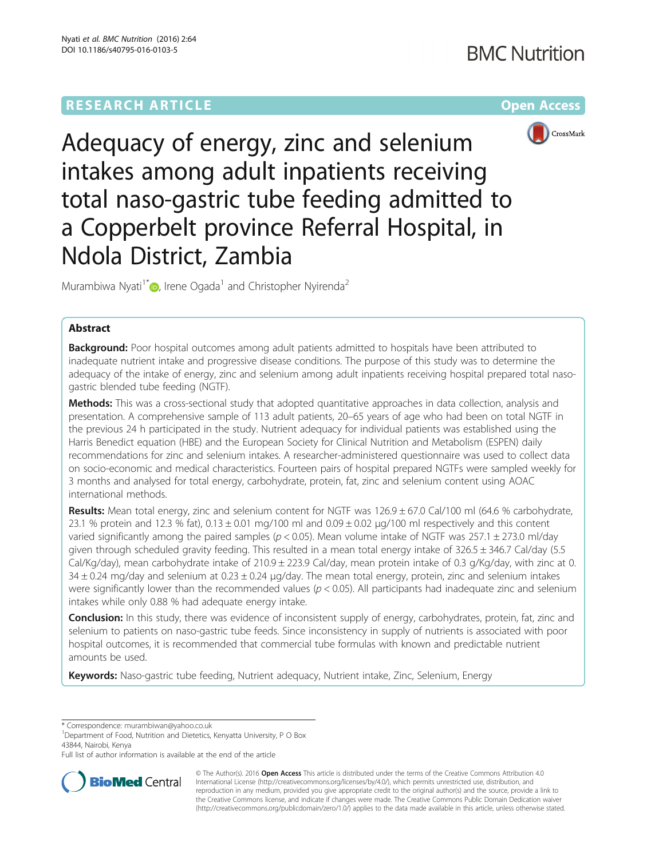

Adequacy of energy, zinc and selenium intakes among adult inpatients receiving total naso-gastric tube feeding admitted to a Copperbelt province Referral Hospital, in Ndola District, Zambia

Murambiwa Nyati<sup>1\*</sup>  $\bullet$ , Irene Ogada<sup>1</sup> and Christopher Nyirenda<sup>2</sup>

# Abstract

**Background:** Poor hospital outcomes among adult patients admitted to hospitals have been attributed to inadequate nutrient intake and progressive disease conditions. The purpose of this study was to determine the adequacy of the intake of energy, zinc and selenium among adult inpatients receiving hospital prepared total nasogastric blended tube feeding (NGTF).

Methods: This was a cross-sectional study that adopted quantitative approaches in data collection, analysis and presentation. A comprehensive sample of 113 adult patients, 20–65 years of age who had been on total NGTF in the previous 24 h participated in the study. Nutrient adequacy for individual patients was established using the Harris Benedict equation (HBE) and the European Society for Clinical Nutrition and Metabolism (ESPEN) daily recommendations for zinc and selenium intakes. A researcher-administered questionnaire was used to collect data on socio-economic and medical characteristics. Fourteen pairs of hospital prepared NGTFs were sampled weekly for 3 months and analysed for total energy, carbohydrate, protein, fat, zinc and selenium content using AOAC international methods.

**Results:** Mean total energy, zinc and selenium content for NGTF was  $126.9 \pm 67.0$  Cal/100 ml (64.6 % carbohydrate, 23.1 % protein and 12.3 % fat),  $0.13 \pm 0.01$  mg/100 ml and  $0.09 \pm 0.02$  µg/100 ml respectively and this content varied significantly among the paired samples ( $p < 0.05$ ). Mean volume intake of NGTF was 257.1  $\pm$  273.0 ml/day given through scheduled gravity feeding. This resulted in a mean total energy intake of 326.5 ± 346.7 Cal/day (5.5 Cal/Kg/day), mean carbohydrate intake of 210.9 ± 223.9 Cal/day, mean protein intake of 0.3 g/Kg/day, with zinc at 0.  $34 \pm 0.24$  mg/day and selenium at  $0.23 \pm 0.24$  µg/day. The mean total energy, protein, zinc and selenium intakes were significantly lower than the recommended values ( $p < 0.05$ ). All participants had inadequate zinc and selenium intakes while only 0.88 % had adequate energy intake.

**Conclusion:** In this study, there was evidence of inconsistent supply of energy, carbohydrates, protein, fat, zinc and selenium to patients on naso-gastric tube feeds. Since inconsistency in supply of nutrients is associated with poor hospital outcomes, it is recommended that commercial tube formulas with known and predictable nutrient amounts be used.

Keywords: Naso-gastric tube feeding, Nutrient adequacy, Nutrient intake, Zinc, Selenium, Energy

\* Correspondence: [murambiwan@yahoo.co.uk](mailto:murambiwan@yahoo.co.uk) <sup>1</sup>

<sup>1</sup>Department of Food, Nutrition and Dietetics, Kenyatta University, P O Box 43844, Nairobi, Kenya

Full list of author information is available at the end of the article



© The Author(s). 2016 Open Access This article is distributed under the terms of the Creative Commons Attribution 4.0 International License [\(http://creativecommons.org/licenses/by/4.0/](http://creativecommons.org/licenses/by/4.0/)), which permits unrestricted use, distribution, and reproduction in any medium, provided you give appropriate credit to the original author(s) and the source, provide a link to the Creative Commons license, and indicate if changes were made. The Creative Commons Public Domain Dedication waiver [\(http://creativecommons.org/publicdomain/zero/1.0/](http://creativecommons.org/publicdomain/zero/1.0/)) applies to the data made available in this article, unless otherwise stated.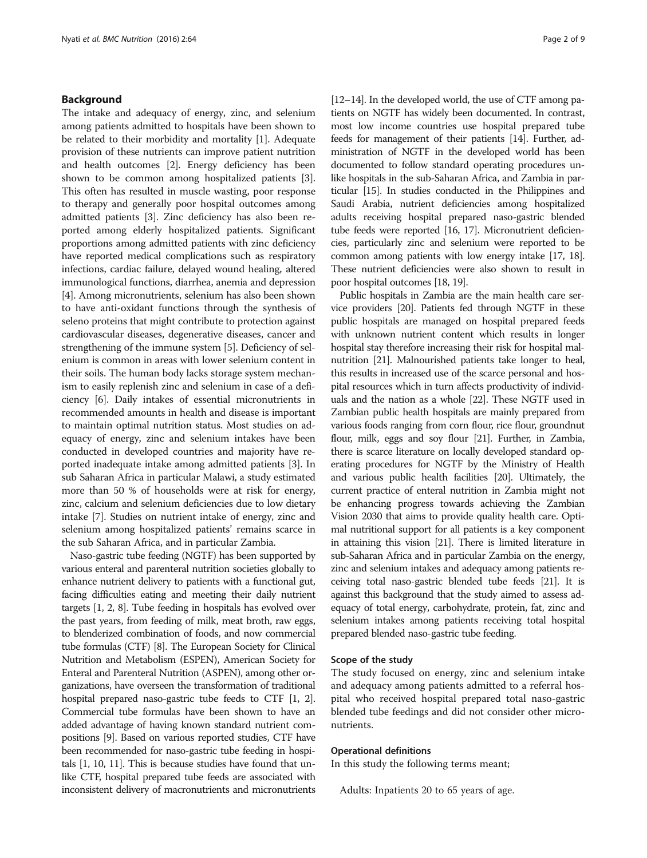## Background

The intake and adequacy of energy, zinc, and selenium among patients admitted to hospitals have been shown to be related to their morbidity and mortality [[1](#page-7-0)]. Adequate provision of these nutrients can improve patient nutrition and health outcomes [\[2](#page-7-0)]. Energy deficiency has been shown to be common among hospitalized patients [[3](#page-7-0)]. This often has resulted in muscle wasting, poor response to therapy and generally poor hospital outcomes among admitted patients [\[3\]](#page-7-0). Zinc deficiency has also been reported among elderly hospitalized patients. Significant proportions among admitted patients with zinc deficiency have reported medical complications such as respiratory infections, cardiac failure, delayed wound healing, altered immunological functions, diarrhea, anemia and depression [[4\]](#page-7-0). Among micronutrients, selenium has also been shown to have anti-oxidant functions through the synthesis of seleno proteins that might contribute to protection against cardiovascular diseases, degenerative diseases, cancer and strengthening of the immune system [\[5](#page-7-0)]. Deficiency of selenium is common in areas with lower selenium content in their soils. The human body lacks storage system mechanism to easily replenish zinc and selenium in case of a deficiency [\[6](#page-7-0)]. Daily intakes of essential micronutrients in recommended amounts in health and disease is important to maintain optimal nutrition status. Most studies on adequacy of energy, zinc and selenium intakes have been conducted in developed countries and majority have reported inadequate intake among admitted patients [[3](#page-7-0)]. In sub Saharan Africa in particular Malawi, a study estimated more than 50 % of households were at risk for energy, zinc, calcium and selenium deficiencies due to low dietary intake [[7\]](#page-7-0). Studies on nutrient intake of energy, zinc and selenium among hospitalized patients' remains scarce in the sub Saharan Africa, and in particular Zambia.

Naso-gastric tube feeding (NGTF) has been supported by various enteral and parenteral nutrition societies globally to enhance nutrient delivery to patients with a functional gut, facing difficulties eating and meeting their daily nutrient targets [\[1, 2](#page-7-0), [8](#page-7-0)]. Tube feeding in hospitals has evolved over the past years, from feeding of milk, meat broth, raw eggs, to blenderized combination of foods, and now commercial tube formulas (CTF) [\[8](#page-7-0)]. The European Society for Clinical Nutrition and Metabolism (ESPEN), American Society for Enteral and Parenteral Nutrition (ASPEN), among other organizations, have overseen the transformation of traditional hospital prepared naso-gastric tube feeds to CTF [\[1, 2](#page-7-0)]. Commercial tube formulas have been shown to have an added advantage of having known standard nutrient compositions [\[9\]](#page-8-0). Based on various reported studies, CTF have been recommended for naso-gastric tube feeding in hospitals [\[1,](#page-7-0) [10](#page-8-0), [11\]](#page-8-0). This is because studies have found that unlike CTF, hospital prepared tube feeds are associated with inconsistent delivery of macronutrients and micronutrients [[12](#page-8-0)–[14](#page-8-0)]. In the developed world, the use of CTF among patients on NGTF has widely been documented. In contrast, most low income countries use hospital prepared tube feeds for management of their patients [\[14](#page-8-0)]. Further, administration of NGTF in the developed world has been documented to follow standard operating procedures unlike hospitals in the sub-Saharan Africa, and Zambia in particular [\[15\]](#page-8-0). In studies conducted in the Philippines and Saudi Arabia, nutrient deficiencies among hospitalized adults receiving hospital prepared naso-gastric blended tube feeds were reported [\[16](#page-8-0), [17\]](#page-8-0). Micronutrient deficiencies, particularly zinc and selenium were reported to be common among patients with low energy intake [[17](#page-8-0), [18](#page-8-0)]. These nutrient deficiencies were also shown to result in poor hospital outcomes [[18, 19](#page-8-0)].

Public hospitals in Zambia are the main health care service providers [[20\]](#page-8-0). Patients fed through NGTF in these public hospitals are managed on hospital prepared feeds with unknown nutrient content which results in longer hospital stay therefore increasing their risk for hospital malnutrition [[21](#page-8-0)]. Malnourished patients take longer to heal, this results in increased use of the scarce personal and hospital resources which in turn affects productivity of individuals and the nation as a whole [\[22\]](#page-8-0). These NGTF used in Zambian public health hospitals are mainly prepared from various foods ranging from corn flour, rice flour, groundnut flour, milk, eggs and soy flour [\[21\]](#page-8-0). Further, in Zambia, there is scarce literature on locally developed standard operating procedures for NGTF by the Ministry of Health and various public health facilities [[20](#page-8-0)]. Ultimately, the current practice of enteral nutrition in Zambia might not be enhancing progress towards achieving the Zambian Vision 2030 that aims to provide quality health care. Optimal nutritional support for all patients is a key component in attaining this vision [\[21\]](#page-8-0). There is limited literature in sub-Saharan Africa and in particular Zambia on the energy, zinc and selenium intakes and adequacy among patients receiving total naso-gastric blended tube feeds [[21](#page-8-0)]. It is against this background that the study aimed to assess adequacy of total energy, carbohydrate, protein, fat, zinc and selenium intakes among patients receiving total hospital prepared blended naso-gastric tube feeding.

## Scope of the study

The study focused on energy, zinc and selenium intake and adequacy among patients admitted to a referral hospital who received hospital prepared total naso-gastric blended tube feedings and did not consider other micronutrients.

## Operational definitions

In this study the following terms meant;

Adults: Inpatients 20 to 65 years of age.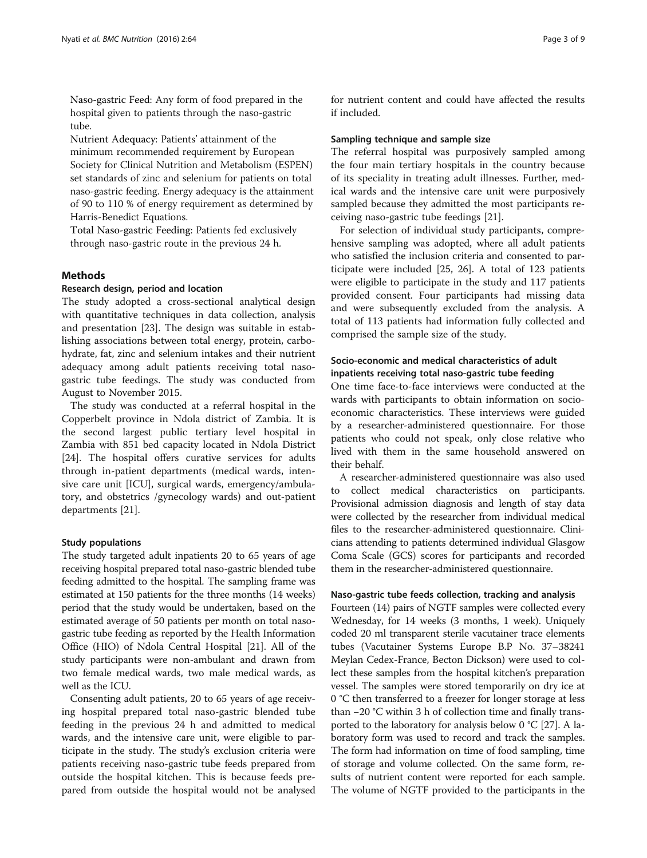Naso-gastric Feed: Any form of food prepared in the hospital given to patients through the naso-gastric tube.

Nutrient Adequacy: Patients' attainment of the minimum recommended requirement by European Society for Clinical Nutrition and Metabolism (ESPEN) set standards of zinc and selenium for patients on total naso-gastric feeding. Energy adequacy is the attainment of 90 to 110 % of energy requirement as determined by Harris-Benedict Equations.

Total Naso-gastric Feeding: Patients fed exclusively through naso-gastric route in the previous 24 h.

## **Methods**

## Research design, period and location

The study adopted a cross-sectional analytical design with quantitative techniques in data collection, analysis and presentation [[23\]](#page-8-0). The design was suitable in establishing associations between total energy, protein, carbohydrate, fat, zinc and selenium intakes and their nutrient adequacy among adult patients receiving total nasogastric tube feedings. The study was conducted from August to November 2015.

The study was conducted at a referral hospital in the Copperbelt province in Ndola district of Zambia. It is the second largest public tertiary level hospital in Zambia with 851 bed capacity located in Ndola District [[24\]](#page-8-0). The hospital offers curative services for adults through in-patient departments (medical wards, intensive care unit [ICU], surgical wards, emergency/ambulatory, and obstetrics /gynecology wards) and out-patient departments [[21\]](#page-8-0).

## Study populations

The study targeted adult inpatients 20 to 65 years of age receiving hospital prepared total naso-gastric blended tube feeding admitted to the hospital. The sampling frame was estimated at 150 patients for the three months (14 weeks) period that the study would be undertaken, based on the estimated average of 50 patients per month on total nasogastric tube feeding as reported by the Health Information Office (HIO) of Ndola Central Hospital [\[21\]](#page-8-0). All of the study participants were non-ambulant and drawn from two female medical wards, two male medical wards, as well as the ICU.

Consenting adult patients, 20 to 65 years of age receiving hospital prepared total naso-gastric blended tube feeding in the previous 24 h and admitted to medical wards, and the intensive care unit, were eligible to participate in the study. The study's exclusion criteria were patients receiving naso-gastric tube feeds prepared from outside the hospital kitchen. This is because feeds prepared from outside the hospital would not be analysed

for nutrient content and could have affected the results if included.

#### Sampling technique and sample size

The referral hospital was purposively sampled among the four main tertiary hospitals in the country because of its speciality in treating adult illnesses. Further, medical wards and the intensive care unit were purposively sampled because they admitted the most participants receiving naso-gastric tube feedings [[21\]](#page-8-0).

For selection of individual study participants, comprehensive sampling was adopted, where all adult patients who satisfied the inclusion criteria and consented to participate were included [\[25, 26](#page-8-0)]. A total of 123 patients were eligible to participate in the study and 117 patients provided consent. Four participants had missing data and were subsequently excluded from the analysis. A total of 113 patients had information fully collected and comprised the sample size of the study.

## Socio-economic and medical characteristics of adult inpatients receiving total naso-gastric tube feeding

One time face-to-face interviews were conducted at the wards with participants to obtain information on socioeconomic characteristics. These interviews were guided by a researcher-administered questionnaire. For those patients who could not speak, only close relative who lived with them in the same household answered on their behalf.

A researcher-administered questionnaire was also used to collect medical characteristics on participants. Provisional admission diagnosis and length of stay data were collected by the researcher from individual medical files to the researcher-administered questionnaire. Clinicians attending to patients determined individual Glasgow Coma Scale (GCS) scores for participants and recorded them in the researcher-administered questionnaire.

## Naso-gastric tube feeds collection, tracking and analysis

Fourteen (14) pairs of NGTF samples were collected every Wednesday, for 14 weeks (3 months, 1 week). Uniquely coded 20 ml transparent sterile vacutainer trace elements tubes (Vacutainer Systems Europe B.P No. 37–38241 Meylan Cedex-France, Becton Dickson) were used to collect these samples from the hospital kitchen's preparation vessel. The samples were stored temporarily on dry ice at 0 °C then transferred to a freezer for longer storage at less than −20 °C within 3 h of collection time and finally transported to the laboratory for analysis below 0 °C [[27\]](#page-8-0). A laboratory form was used to record and track the samples. The form had information on time of food sampling, time of storage and volume collected. On the same form, results of nutrient content were reported for each sample. The volume of NGTF provided to the participants in the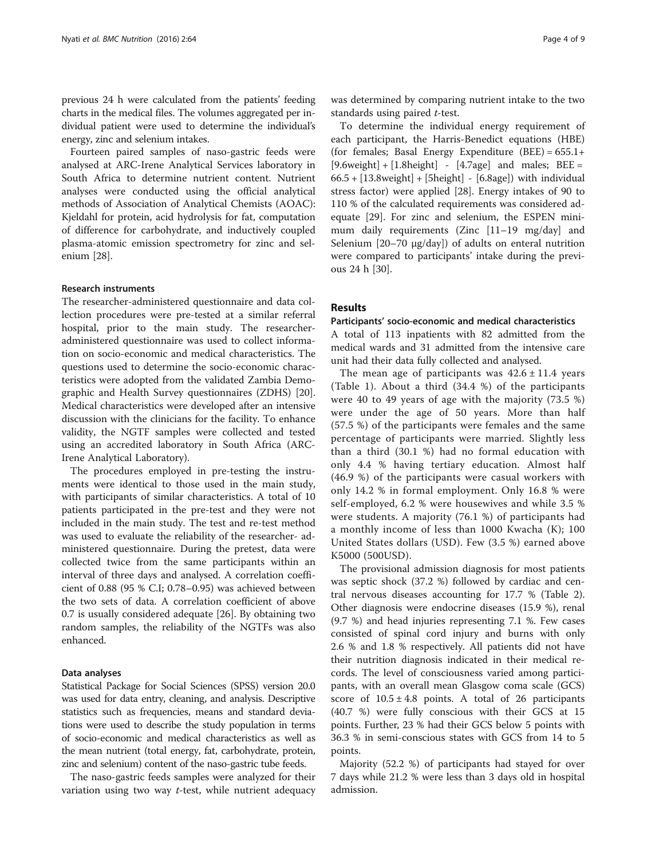previous 24 h were calculated from the patients' feeding charts in the medical files. The volumes aggregated per individual patient were used to determine the individual's energy, zinc and selenium intakes.

Fourteen paired samples of naso-gastric feeds were analysed at ARC-Irene Analytical Services laboratory in South Africa to determine nutrient content. Nutrient analyses were conducted using the official analytical methods of Association of Analytical Chemists (AOAC): Kjeldahl for protein, acid hydrolysis for fat, computation of difference for carbohydrate, and inductively coupled plasma-atomic emission spectrometry for zinc and selenium [[28](#page-8-0)].

## Research instruments

The researcher-administered questionnaire and data collection procedures were pre-tested at a similar referral hospital, prior to the main study. The researcheradministered questionnaire was used to collect information on socio-economic and medical characteristics. The questions used to determine the socio-economic characteristics were adopted from the validated Zambia Demographic and Health Survey questionnaires (ZDHS) [\[20](#page-8-0)]. Medical characteristics were developed after an intensive discussion with the clinicians for the facility. To enhance validity, the NGTF samples were collected and tested using an accredited laboratory in South Africa (ARC-Irene Analytical Laboratory).

The procedures employed in pre-testing the instruments were identical to those used in the main study, with participants of similar characteristics. A total of 10 patients participated in the pre-test and they were not included in the main study. The test and re-test method was used to evaluate the reliability of the researcher- administered questionnaire. During the pretest, data were collected twice from the same participants within an interval of three days and analysed. A correlation coefficient of 0.88 (95 % C.I; 0.78–0.95) was achieved between the two sets of data. A correlation coefficient of above 0.7 is usually considered adequate [\[26](#page-8-0)]. By obtaining two random samples, the reliability of the NGTFs was also enhanced.

### Data analyses

Statistical Package for Social Sciences (SPSS) version 20.0 was used for data entry, cleaning, and analysis. Descriptive statistics such as frequencies, means and standard deviations were used to describe the study population in terms of socio-economic and medical characteristics as well as the mean nutrient (total energy, fat, carbohydrate, protein, zinc and selenium) content of the naso-gastric tube feeds.

The naso-gastric feeds samples were analyzed for their variation using two way  $t$ -test, while nutrient adequacy

was determined by comparing nutrient intake to the two standards using paired t-test.

To determine the individual energy requirement of each participant, the Harris-Benedict equations (HBE) (for females; Basal Energy Expenditure  $(BEE) = 655.1+$  $[9.6$ weight $]+[1.8$ height $] - [4.7$ age $]$  and males; BEE =  $66.5 + [13.8$ weight $] + [5$ height $] - [6.8$ age $]$ ) with individual stress factor) were applied [\[28](#page-8-0)]. Energy intakes of 90 to 110 % of the calculated requirements was considered adequate [[29\]](#page-8-0). For zinc and selenium, the ESPEN minimum daily requirements (Zinc [11–19 mg/day] and Selenium [20–70 μg/day]) of adults on enteral nutrition were compared to participants' intake during the previous 24 h [\[30\]](#page-8-0).

## Results

#### Participants' socio-economic and medical characteristics

A total of 113 inpatients with 82 admitted from the medical wards and 31 admitted from the intensive care unit had their data fully collected and analysed.

The mean age of participants was  $42.6 \pm 11.4$  years (Table [1\)](#page-4-0). About a third (34.4 %) of the participants were 40 to 49 years of age with the majority (73.5 %) were under the age of 50 years. More than half (57.5 %) of the participants were females and the same percentage of participants were married. Slightly less than a third (30.1 %) had no formal education with only 4.4 % having tertiary education. Almost half (46.9 %) of the participants were casual workers with only 14.2 % in formal employment. Only 16.8 % were self-employed, 6.2 % were housewives and while 3.5 % were students. A majority (76.1 %) of participants had a monthly income of less than 1000 Kwacha (K); 100 United States dollars (USD). Few (3.5 %) earned above K5000 (500USD).

The provisional admission diagnosis for most patients was septic shock (37.2 %) followed by cardiac and central nervous diseases accounting for 17.7 % (Table [2](#page-4-0)). Other diagnosis were endocrine diseases (15.9 %), renal (9.7 %) and head injuries representing 7.1 %. Few cases consisted of spinal cord injury and burns with only 2.6 % and 1.8 % respectively. All patients did not have their nutrition diagnosis indicated in their medical records. The level of consciousness varied among participants, with an overall mean Glasgow coma scale (GCS) score of  $10.5 \pm 4.8$  points. A total of 26 participants (40.7 %) were fully conscious with their GCS at 15 points. Further, 23 % had their GCS below 5 points with 36.3 % in semi-conscious states with GCS from 14 to 5 points.

Majority (52.2 %) of participants had stayed for over 7 days while 21.2 % were less than 3 days old in hospital admission.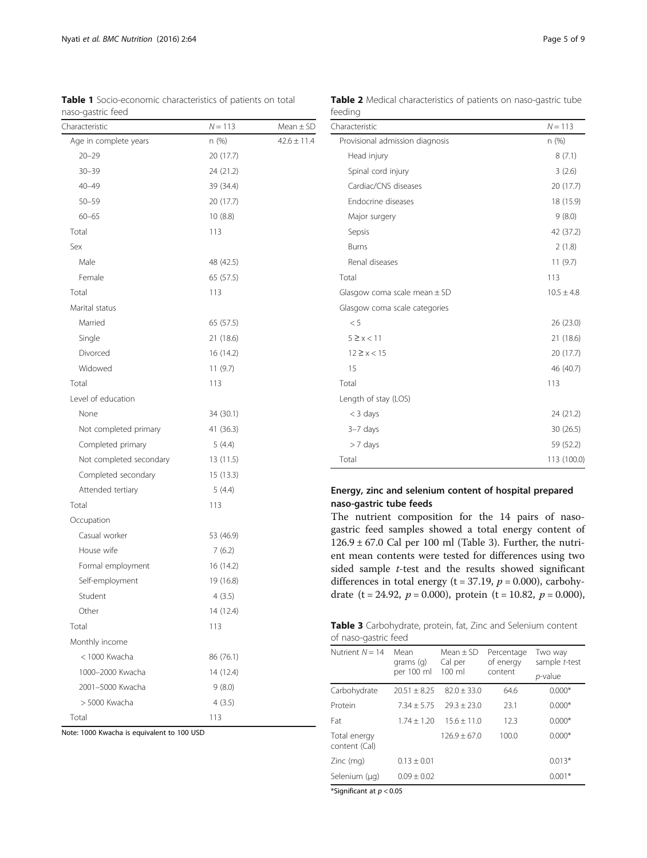<span id="page-4-0"></span>Table 1 Socio-economic characteristics of patients on total naso-gastric feed

| Characteristic          | $N = 113$ | $Mean \pm SD$   |
|-------------------------|-----------|-----------------|
| Age in complete years   | n (%)     | $42.6 \pm 11.4$ |
| $20 - 29$               | 20 (17.7) |                 |
| $30 - 39$               | 24 (21.2) |                 |
| $40 - 49$               | 39 (34.4) |                 |
| $50 - 59$               | 20 (17.7) |                 |
| $60 - 65$               | 10(8.8)   |                 |
| Total                   | 113       |                 |
| Sex                     |           |                 |
| Male                    | 48 (42.5) |                 |
| Female                  | 65 (57.5) |                 |
| Total                   | 113       |                 |
| Marital status          |           |                 |
| Married                 | 65 (57.5) |                 |
| Single                  | 21 (18.6) |                 |
| Divorced                | 16 (14.2) |                 |
| Widowed                 | 11(9.7)   |                 |
| Total                   | 113       |                 |
| Level of education      |           |                 |
| None                    | 34 (30.1) |                 |
| Not completed primary   | 41 (36.3) |                 |
| Completed primary       | 5(4.4)    |                 |
| Not completed secondary | 13 (11.5) |                 |
| Completed secondary     | 15 (13.3) |                 |
| Attended tertiary       | 5(4.4)    |                 |
| Total                   | 113       |                 |
| Occupation              |           |                 |
| Casual worker           | 53 (46.9) |                 |
| House wife              | 7(6.2)    |                 |
| Formal employment       | 16 (14.2) |                 |
| Self-employment         | 19 (16.8) |                 |
| Student                 | 4(3.5)    |                 |
| Other                   | 14 (12.4) |                 |
| Total                   | 113       |                 |
| Monthly income          |           |                 |
| < 1000 Kwacha           | 86 (76.1) |                 |
| 1000-2000 Kwacha        | 14 (12.4) |                 |
| 2001-5000 Kwacha        | 9(8.0)    |                 |
| > 5000 Kwacha           | 4(3.5)    |                 |
| Total                   | 113       |                 |

Note: 1000 Kwacha is equivalent to 100 USD

Provisional admission diagnosis n (%) Head injury 8 (7.1) Spinal cord injury 3 (2.6) Cardiac/CNS diseases 20 (17.7) Endocrine diseases 18 (15.9) Major surgery 9 (8.0) Sepsis 42 (37.2) Burns 2 (1.8) Renal diseases 11 (9.7) Total 113 Glasgow coma scale mean  $\pm$  SD 10.5  $\pm$  4.8 Glasgow coma scale categories

Table 2 Medical characteristics of patients on naso-gastric tube

Characteristic  $N = 113$ 

feeding

| Glasgow coma scale categories |           |
|-------------------------------|-----------|
| $\leq 5$                      | 26 (23.0) |
| $5 \geq x < 11$               | 21 (18.6) |
| $12 \ge x < 15$               | 20 (17.7) |
| 15                            | 46 (40.7) |
| Total                         | 113       |
| Length of stay (LOS)          |           |
| $<$ 3 days                    | 24 (21.2) |
| $3-7$ days                    | 30(26.5)  |
| $> 7$ days                    | 59 (52.2) |

## Energy, zinc and selenium content of hospital prepared naso-gastric tube feeds

Total 113 (100.0)

The nutrient composition for the 14 pairs of nasogastric feed samples showed a total energy content of  $126.9 \pm 67.0$  Cal per 100 ml (Table 3). Further, the nutrient mean contents were tested for differences using two sided sample t-test and the results showed significant differences in total energy ( $t = 37.19$ ,  $p = 0.000$ ), carbohydrate (t = 24.92,  $p = 0.000$ ), protein (t = 10.82,  $p = 0.000$ ),

Table 3 Carbohydrate, protein, fat, Zinc and Selenium content of naso-gastric feed

| Nutrient $N = 14$             | Mean<br>grams(q)<br>per 100 ml | Mean $\pm$ SD<br>Cal per<br>$100 \mathrm{m}$ | Percentage<br>of energy<br>content | Two way<br>sample t-test |
|-------------------------------|--------------------------------|----------------------------------------------|------------------------------------|--------------------------|
|                               |                                |                                              |                                    | p-value                  |
| Carbohydrate                  | $20.51 + 8.25$                 | $82.0 + 33.0$                                | 64.6                               | $0.000*$                 |
| Protein                       | $7.34 + 5.75$                  | $79.3 + 73.0$                                | 23.1                               | $0.000*$                 |
| Fat                           | $1.74 + 1.20$                  | $15.6 + 11.0$                                | 12.3                               | $0.000*$                 |
| Total energy<br>content (Cal) |                                | $126.9 + 67.0$                               | 100.0                              | $0.000*$                 |
| Zinc (mg)                     | $0.13 \pm 0.01$                |                                              |                                    | $0.013*$                 |
| Selenium (µg)                 | $0.09 \pm 0.02$                |                                              |                                    | $0.001*$                 |

\*Significant at  $p < 0.05$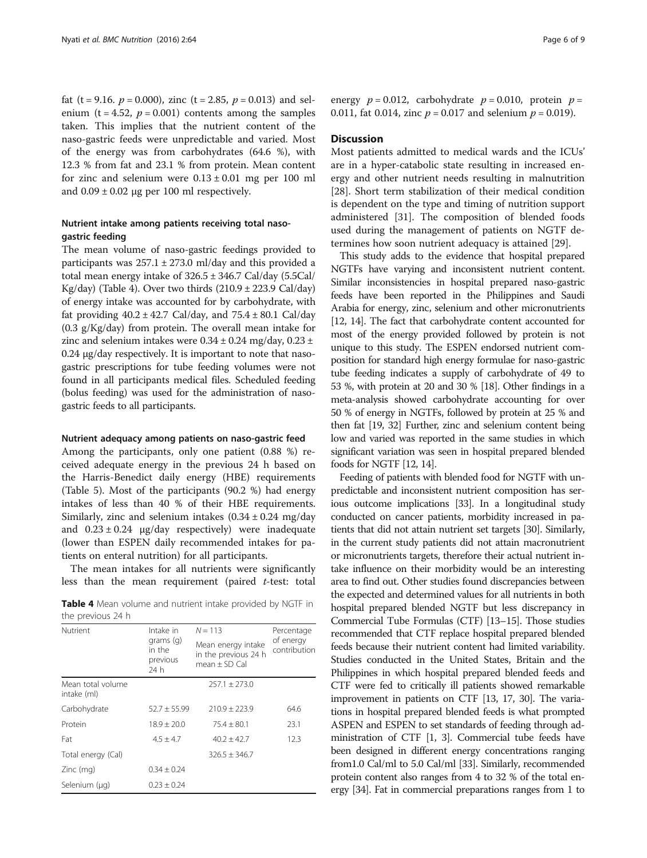fat (t = 9.16.  $p = 0.000$ ), zinc (t = 2.85,  $p = 0.013$ ) and selenium (t = 4.52,  $p = 0.001$ ) contents among the samples taken. This implies that the nutrient content of the naso-gastric feeds were unpredictable and varied. Most of the energy was from carbohydrates (64.6 %), with 12.3 % from fat and 23.1 % from protein. Mean content for zinc and selenium were  $0.13 \pm 0.01$  mg per 100 ml and  $0.09 \pm 0.02$  µg per 100 ml respectively.

## Nutrient intake among patients receiving total nasogastric feeding

The mean volume of naso-gastric feedings provided to participants was  $257.1 \pm 273.0$  ml/day and this provided a total mean energy intake of  $326.5 \pm 346.7$  Cal/day  $(5.5 \text{Cal})$ Kg/day) (Table 4). Over two thirds  $(210.9 \pm 223.9 \text{ Cal/day})$ of energy intake was accounted for by carbohydrate, with fat providing  $40.2 \pm 42.7$  Cal/day, and  $75.4 \pm 80.1$  Cal/day (0.3 g/Kg/day) from protein. The overall mean intake for zinc and selenium intakes were  $0.34 \pm 0.24$  mg/day,  $0.23 \pm 0.24$ 0.24 μg/day respectively. It is important to note that nasogastric prescriptions for tube feeding volumes were not found in all participants medical files. Scheduled feeding (bolus feeding) was used for the administration of nasogastric feeds to all participants.

### Nutrient adequacy among patients on naso-gastric feed

Among the participants, only one patient (0.88 %) received adequate energy in the previous 24 h based on the Harris-Benedict daily energy (HBE) requirements (Table [5\)](#page-6-0). Most of the participants (90.2 %) had energy intakes of less than 40 % of their HBE requirements. Similarly, zinc and selenium intakes  $(0.34 \pm 0.24 \text{ mg/day})$ and  $0.23 \pm 0.24$   $\mu$ g/day respectively) were inadequate (lower than ESPEN daily recommended intakes for patients on enteral nutrition) for all participants.

The mean intakes for all nutrients were significantly less than the mean requirement (paired t-test: total

Table 4 Mean volume and nutrient intake provided by NGTF in the previous 24 h

| Nutrient                         | Intake in                              | $N = 113$                                                       | Percentage                |  |
|----------------------------------|----------------------------------------|-----------------------------------------------------------------|---------------------------|--|
|                                  | grams(q)<br>in the<br>previous<br>24 h | Mean energy intake<br>in the previous 24 h<br>mean $\pm$ SD Cal | of energy<br>contribution |  |
| Mean total volume<br>intake (ml) |                                        | $257.1 \pm 273.0$                                               |                           |  |
| Carbohydrate                     | $52.7 \pm 55.99$                       | $710.9 + 773.9$                                                 | 64.6                      |  |
| Protein                          | $18.9 \pm 20.0$                        | $75.4 \pm 80.1$                                                 | 23.1                      |  |
| Fat                              | $4.5 \pm 4.7$                          | $40.2 \pm 42.7$                                                 | 12.3                      |  |
| Total energy (Cal)               |                                        | $326.5 + 346.7$                                                 |                           |  |
| Zinc (mg)                        | $0.34 \pm 0.24$                        |                                                                 |                           |  |
| Selenium (µg)                    | $0.23 \pm 0.24$                        |                                                                 |                           |  |

energy  $p = 0.012$ , carbohydrate  $p = 0.010$ , protein  $p =$ 0.011, fat 0.014, zinc  $p = 0.017$  and selenium  $p = 0.019$ ).

## **Discussion**

Most patients admitted to medical wards and the ICUs' are in a hyper-catabolic state resulting in increased energy and other nutrient needs resulting in malnutrition [[28\]](#page-8-0). Short term stabilization of their medical condition is dependent on the type and timing of nutrition support administered [\[31](#page-8-0)]. The composition of blended foods used during the management of patients on NGTF determines how soon nutrient adequacy is attained [[29](#page-8-0)].

This study adds to the evidence that hospital prepared NGTFs have varying and inconsistent nutrient content. Similar inconsistencies in hospital prepared naso-gastric feeds have been reported in the Philippines and Saudi Arabia for energy, zinc, selenium and other micronutrients [[12](#page-8-0), [14](#page-8-0)]. The fact that carbohydrate content accounted for most of the energy provided followed by protein is not unique to this study. The ESPEN endorsed nutrient composition for standard high energy formulae for naso-gastric tube feeding indicates a supply of carbohydrate of 49 to 53 %, with protein at 20 and 30 % [[18](#page-8-0)]. Other findings in a meta-analysis showed carbohydrate accounting for over 50 % of energy in NGTFs, followed by protein at 25 % and then fat [\[19, 32\]](#page-8-0) Further, zinc and selenium content being low and varied was reported in the same studies in which significant variation was seen in hospital prepared blended foods for NGTF [\[12, 14\]](#page-8-0).

Feeding of patients with blended food for NGTF with unpredictable and inconsistent nutrient composition has serious outcome implications [\[33](#page-8-0)]. In a longitudinal study conducted on cancer patients, morbidity increased in patients that did not attain nutrient set targets [[30](#page-8-0)]. Similarly, in the current study patients did not attain macronutrient or micronutrients targets, therefore their actual nutrient intake influence on their morbidity would be an interesting area to find out. Other studies found discrepancies between the expected and determined values for all nutrients in both hospital prepared blended NGTF but less discrepancy in Commercial Tube Formulas (CTF) [\[13](#page-8-0)–[15\]](#page-8-0). Those studies recommended that CTF replace hospital prepared blended feeds because their nutrient content had limited variability. Studies conducted in the United States, Britain and the Philippines in which hospital prepared blended feeds and CTF were fed to critically ill patients showed remarkable improvement in patients on CTF [\[13, 17](#page-8-0), [30\]](#page-8-0). The variations in hospital prepared blended feeds is what prompted ASPEN and ESPEN to set standards of feeding through administration of CTF [\[1, 3](#page-7-0)]. Commercial tube feeds have been designed in different energy concentrations ranging from1.0 Cal/ml to 5.0 Cal/ml [\[33\]](#page-8-0). Similarly, recommended protein content also ranges from 4 to 32 % of the total energy [\[34\]](#page-8-0). Fat in commercial preparations ranges from 1 to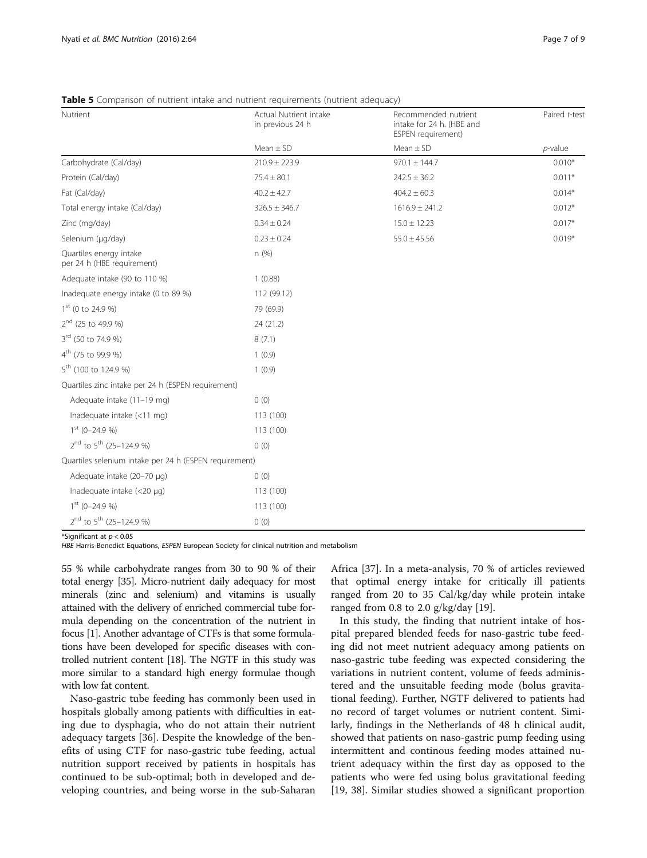<span id="page-6-0"></span>

|  |  | Table 5 Comparison of nutrient intake and nutrient requirements (nutrient adequacy) |
|--|--|-------------------------------------------------------------------------------------|
|  |  |                                                                                     |

| Nutrient                                               | Actual Nutrient intake<br>in previous 24 h | Recommended nutrient<br>intake for 24 h. (HBE and<br><b>ESPEN</b> requirement) | Paired t-test |
|--------------------------------------------------------|--------------------------------------------|--------------------------------------------------------------------------------|---------------|
|                                                        | $Mean \pm SD$                              | $Mean \pm SD$                                                                  | $p$ -value    |
| Carbohydrate (Cal/day)                                 | $210.9 \pm 223.9$                          | $970.1 \pm 144.7$                                                              | $0.010*$      |
| Protein (Cal/day)                                      | $75.4 \pm 80.1$                            | $242.5 \pm 36.2$                                                               | $0.011*$      |
| Fat (Cal/day)                                          | $40.2 \pm 42.7$                            | $404.2 \pm 60.3$                                                               | $0.014*$      |
| Total energy intake (Cal/day)                          | $326.5 \pm 346.7$                          | $1616.9 \pm 241.2$                                                             | $0.012*$      |
| Zinc (mg/day)                                          | $0.34 \pm 0.24$                            | $15.0 \pm 12.23$                                                               | $0.017*$      |
| Selenium (µg/day)                                      | $0.23 \pm 0.24$                            | $55.0 \pm 45.56$                                                               | $0.019*$      |
| Quartiles energy intake<br>per 24 h (HBE requirement)  | n(%)                                       |                                                                                |               |
| Adequate intake (90 to 110 %)                          | 1(0.88)                                    |                                                                                |               |
| Inadequate energy intake (0 to 89 %)                   | 112 (99.12)                                |                                                                                |               |
| $1^{st}$ (0 to 24.9 %)                                 | 79 (69.9)                                  |                                                                                |               |
| $2^{nd}$ (25 to 49.9 %)                                | 24 (21.2)                                  |                                                                                |               |
| 3rd (50 to 74.9 %)                                     | 8(7.1)                                     |                                                                                |               |
| $4^{th}$ (75 to 99.9 %)                                | 1(0.9)                                     |                                                                                |               |
| 5 <sup>th</sup> (100 to 124.9 %)                       | 1(0.9)                                     |                                                                                |               |
| Quartiles zinc intake per 24 h (ESPEN requirement)     |                                            |                                                                                |               |
| Adequate intake (11-19 mg)                             | 0(0)                                       |                                                                                |               |
| Inadequate intake (<11 mg)                             | 113 (100)                                  |                                                                                |               |
| $1st$ (0-24.9 %)                                       | 113 (100)                                  |                                                                                |               |
| 2 <sup>nd</sup> to 5 <sup>th</sup> (25-124.9 %)        | 0(0)                                       |                                                                                |               |
| Quartiles selenium intake per 24 h (ESPEN requirement) |                                            |                                                                                |               |
| Adequate intake (20-70 µg)                             | 0(0)                                       |                                                                                |               |
| Inadequate intake (<20 µg)                             | 113 (100)                                  |                                                                                |               |
| $1st$ (0-24.9 %)                                       | 113 (100)                                  |                                                                                |               |
| 2 <sup>nd</sup> to 5 <sup>th</sup> (25-124.9 %)        | 0(0)                                       |                                                                                |               |

\*Significant at  $p < 0.05$ 

HBE Harris-Benedict Equations, ESPEN European Society for clinical nutrition and metabolism

55 % while carbohydrate ranges from 30 to 90 % of their total energy [\[35\]](#page-8-0). Micro-nutrient daily adequacy for most minerals (zinc and selenium) and vitamins is usually attained with the delivery of enriched commercial tube formula depending on the concentration of the nutrient in focus [[1\]](#page-7-0). Another advantage of CTFs is that some formulations have been developed for specific diseases with controlled nutrient content [[18](#page-8-0)]. The NGTF in this study was more similar to a standard high energy formulae though with low fat content.

Naso-gastric tube feeding has commonly been used in hospitals globally among patients with difficulties in eating due to dysphagia, who do not attain their nutrient adequacy targets [[36\]](#page-8-0). Despite the knowledge of the benefits of using CTF for naso-gastric tube feeding, actual nutrition support received by patients in hospitals has continued to be sub-optimal; both in developed and developing countries, and being worse in the sub-Saharan

Africa [\[37\]](#page-8-0). In a meta-analysis, 70 % of articles reviewed that optimal energy intake for critically ill patients ranged from 20 to 35 Cal/kg/day while protein intake ranged from 0.8 to 2.0  $g/kg/day$  [[19\]](#page-8-0).

In this study, the finding that nutrient intake of hospital prepared blended feeds for naso-gastric tube feeding did not meet nutrient adequacy among patients on naso-gastric tube feeding was expected considering the variations in nutrient content, volume of feeds administered and the unsuitable feeding mode (bolus gravitational feeding). Further, NGTF delivered to patients had no record of target volumes or nutrient content. Similarly, findings in the Netherlands of 48 h clinical audit, showed that patients on naso-gastric pump feeding using intermittent and continous feeding modes attained nutrient adequacy within the first day as opposed to the patients who were fed using bolus gravitational feeding [[19, 38](#page-8-0)]. Similar studies showed a significant proportion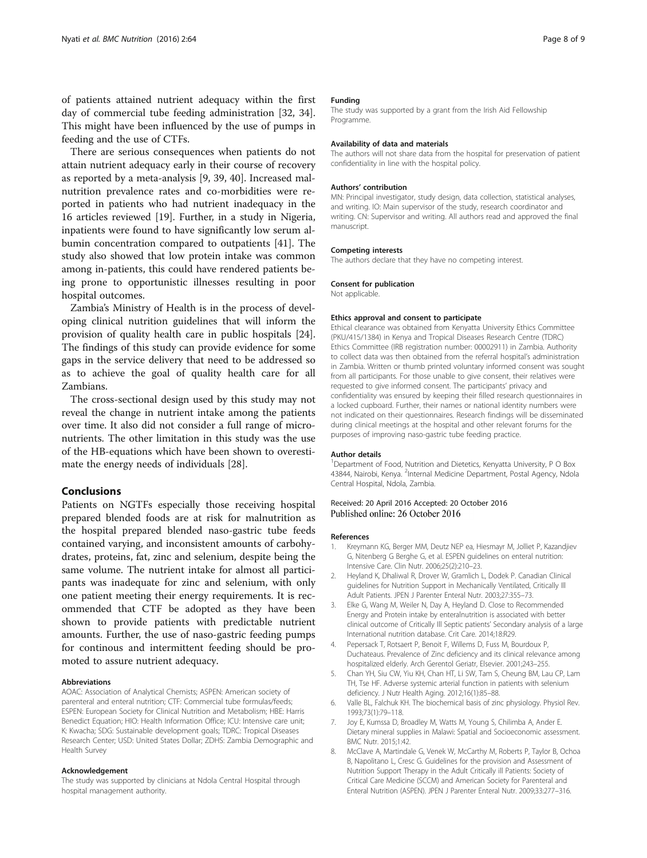<span id="page-7-0"></span>of patients attained nutrient adequacy within the first day of commercial tube feeding administration [[32](#page-8-0), [34](#page-8-0)]. This might have been influenced by the use of pumps in feeding and the use of CTFs.

There are serious consequences when patients do not attain nutrient adequacy early in their course of recovery as reported by a meta-analysis [[9, 39, 40](#page-8-0)]. Increased malnutrition prevalence rates and co-morbidities were reported in patients who had nutrient inadequacy in the 16 articles reviewed [\[19\]](#page-8-0). Further, in a study in Nigeria, inpatients were found to have significantly low serum albumin concentration compared to outpatients [[41](#page-8-0)]. The study also showed that low protein intake was common among in-patients, this could have rendered patients being prone to opportunistic illnesses resulting in poor hospital outcomes.

Zambia's Ministry of Health is in the process of developing clinical nutrition guidelines that will inform the provision of quality health care in public hospitals [\[24](#page-8-0)]. The findings of this study can provide evidence for some gaps in the service delivery that need to be addressed so as to achieve the goal of quality health care for all Zambians.

The cross-sectional design used by this study may not reveal the change in nutrient intake among the patients over time. It also did not consider a full range of micronutrients. The other limitation in this study was the use of the HB-equations which have been shown to overestimate the energy needs of individuals [[28\]](#page-8-0).

## Conclusions

Patients on NGTFs especially those receiving hospital prepared blended foods are at risk for malnutrition as the hospital prepared blended naso-gastric tube feeds contained varying, and inconsistent amounts of carbohydrates, proteins, fat, zinc and selenium, despite being the same volume. The nutrient intake for almost all participants was inadequate for zinc and selenium, with only one patient meeting their energy requirements. It is recommended that CTF be adopted as they have been shown to provide patients with predictable nutrient amounts. Further, the use of naso-gastric feeding pumps for continous and intermittent feeding should be promoted to assure nutrient adequacy.

#### Abbreviations

AOAC: Association of Analytical Chemists; ASPEN: American society of parenteral and enteral nutrition; CTF: Commercial tube formulas/feeds; ESPEN: European Society for Clinical Nutrition and Metabolism; HBE: Harris Benedict Equation; HIO: Health Information Office; ICU: Intensive care unit; K: Kwacha; SDG: Sustainable development goals; TDRC: Tropical Diseases Research Center; USD: United States Dollar; ZDHS: Zambia Demographic and Health Survey

#### Acknowledgement

The study was supported by clinicians at Ndola Central Hospital through hospital management authority.

## Funding

The study was supported by a grant from the Irish Aid Fellowship Programme.

#### Availability of data and materials

The authors will not share data from the hospital for preservation of patient confidentiality in line with the hospital policy.

#### Authors' contribution

MN: Principal investigator, study design, data collection, statistical analyses, and writing. IO: Main supervisor of the study, research coordinator and writing. CN: Supervisor and writing. All authors read and approved the final manuscript.

#### Competing interests

The authors declare that they have no competing interest.

# Consent for publication

Not applicable.

#### Ethics approval and consent to participate

Ethical clearance was obtained from Kenyatta University Ethics Committee (PKU/415/1384) in Kenya and Tropical Diseases Research Centre (TDRC) Ethics Committee (IRB registration number: 00002911) in Zambia. Authority to collect data was then obtained from the referral hospital's administration in Zambia. Written or thumb printed voluntary informed consent was sought from all participants. For those unable to give consent, their relatives were requested to give informed consent. The participants' privacy and confidentiality was ensured by keeping their filled research questionnaires in a locked cupboard. Further, their names or national identity numbers were not indicated on their questionnaires. Research findings will be disseminated during clinical meetings at the hospital and other relevant forums for the purposes of improving naso-gastric tube feeding practice.

#### Author details

<sup>1</sup>Department of Food, Nutrition and Dietetics, Kenyatta University, P O Box 43844, Nairobi, Kenya. <sup>2</sup>Internal Medicine Department, Postal Agency, Ndola Central Hospital, Ndola, Zambia.

### Received: 20 April 2016 Accepted: 20 October 2016 Published online: 26 October 2016

#### References

- Kreymann KG, Berger MM, Deutz NEP ea, Hiesmayr M, Jolliet P, Kazandjiev G, Nitenberg G Berghe G, et al. ESPEN guidelines on enteral nutrition: Intensive Care. Clin Nutr. 2006;25(2):210–23.
- 2. Heyland K, Dhaliwal R, Drover W, Gramlich L, Dodek P. Canadian Clinical guidelines for Nutrition Support in Mechanically Ventilated, Critically Ill Adult Patients. JPEN J Parenter Enteral Nutr. 2003;27:355–73.
- 3. Elke G, Wang M, Weiler N, Day A, Heyland D. Close to Recommended Energy and Protein intake by enteralnutrition is associated with better clinical outcome of Critically Ill Septic patients' Secondary analysis of a large International nutrition database. Crit Care. 2014;18:R29.
- 4. Pepersack T, Rotsaert P, Benoit F, Willems D, Fuss M, Bourdoux P, Duchateaus. Prevalence of Zinc deficiency and its clinical relevance among hospitalized elderly. Arch Gerentol Geriatr, Elsevier. 2001;243–255.
- 5. Chan YH, Siu CW, Yiu KH, Chan HT, Li SW, Tam S, Cheung BM, Lau CP, Lam TH, Tse HF. Adverse systemic arterial function in patients with selenium deficiency. J Nutr Health Aging. 2012;16(1):85–88.
- Valle BL, Falchuk KH. The biochemical basis of zinc physiology. Physiol Rev. 1993;73(1):79–118.
- 7. Joy E, Kumssa D, Broadley M, Watts M, Young S, Chilimba A, Ander E. Dietary mineral supplies in Malawi: Spatial and Socioeconomic assessment. BMC Nutr. 2015;1:42.
- 8. McClave A, Martindale G, Venek W, McCarthy M, Roberts P, Taylor B, Ochoa B, Napolitano L, Cresc G. Guidelines for the provision and Assessment of Nutrition Support Therapy in the Adult Critically ill Patients: Society of Critical Care Medicine (SCCM) and American Society for Parenteral and Enteral Nutrition (ASPEN). JPEN J Parenter Enteral Nutr. 2009;33:277–316.